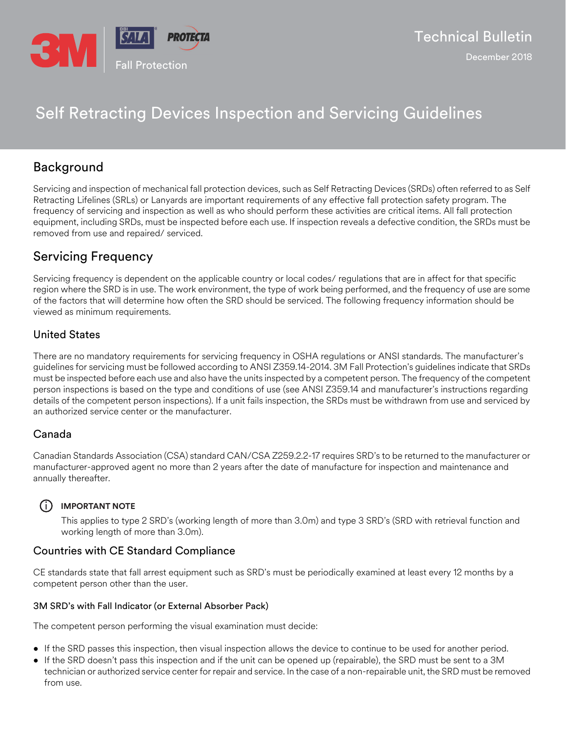

# Self Retracting Devices Inspection and Servicing Guidelines

## Background

Servicing and inspection of mechanical fall protection devices, such as Self Retracting Devices (SRDs) often referred to as Self Retracting Lifelines (SRLs) or Lanyards are important requirements of any effective fall protection safety program. The frequency of servicing and inspection as well as who should perform these activities are critical items. All fall protection equipment, including SRDs, must be inspected before each use. If inspection reveals a defective condition, the SRDs must be removed from use and repaired/ serviced.

## Servicing Frequency

Servicing frequency is dependent on the applicable country or local codes/ regulations that are in affect for that specific region where the SRD is in use. The work environment, the type of work being performed, and the frequency of use are some of the factors that will determine how often the SRD should be serviced. The following frequency information should be viewed as minimum requirements.

## United States

There are no mandatory requirements for servicing frequency in OSHA regulations or ANSI standards. The manufacturer's guidelines for servicing must be followed according to ANSI Z359.14-2014. 3M Fall Protection's guidelines indicate that SRDs must be inspected before each use and also have the units inspected by a competent person. The frequency of the competent person inspections is based on the type and conditions of use (see ANSI Z359.14 and manufacturer's instructions regarding details of the competent person inspections). If a unit fails inspection, the SRDs must be withdrawn from use and serviced by an authorized service center or the manufacturer.

## Canada

Canadian Standards Association (CSA) standard CAN/CSA Z259.2.2-17 requires SRD's to be returned to the manufacturer or manufacturer-approved agent no more than 2 years after the date of manufacture for inspection and maintenance and annually thereafter.

## $(i)$  **IMPORTANT NOTE**

This applies to type 2 SRD's (working length of more than 3.0m) and type 3 SRD's (SRD with retrieval function and working length of more than 3.0m).

## Countries with CE Standard Compliance

CE standards state that fall arrest equipment such as SRD's must be periodically examined at least every 12 months by a competent person other than the user.

## 3M SRD's with Fall Indicator (or External Absorber Pack)

The competent person performing the visual examination must decide:

- If the SRD passes this inspection, then visual inspection allows the device to continue to be used for another period.
- If the SRD doesn't pass this inspection and if the unit can be opened up (repairable), the SRD must be sent to a 3M technician or authorized service center for repair and service. In the case of a non-repairable unit, the SRD must be removed from use.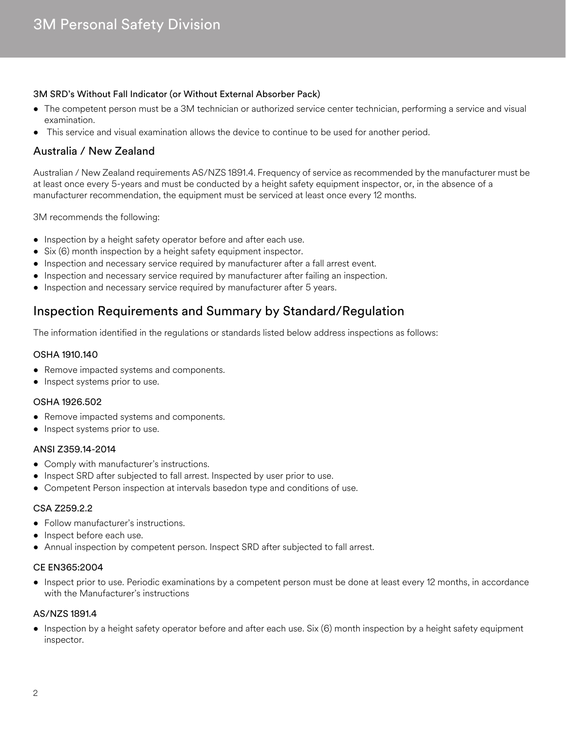### 3M SRD's Without Fall Indicator (or Without External Absorber Pack)

- The competent person must be a 3M technician or authorized service center technician, performing a service and visual examination.
- This service and visual examination allows the device to continue to be used for another period.

## Australia / New Zealand

Australian / New Zealand requirements AS/NZS 1891.4. Frequency of service as recommended by the manufacturer must be at least once every 5-years and must be conducted by a height safety equipment inspector, or, in the absence of a manufacturer recommendation, the equipment must be serviced at least once every 12 months.

3M recommends the following:

- Inspection by a height safety operator before and after each use.
- Six (6) month inspection by a height safety equipment inspector.
- Inspection and necessary service required by manufacturer after a fall arrest event.
- Inspection and necessary service required by manufacturer after failing an inspection.
- Inspection and necessary service required by manufacturer after 5 years.

## Inspection Requirements and Summary by Standard/Regulation

The information identified in the regulations or standards listed below address inspections as follows:

#### OSHA 1910.140

- Remove impacted systems and components.
- Inspect systems prior to use.

#### OSHA 1926.502

- Remove impacted systems and components.
- Inspect systems prior to use.

#### ANSI Z359.14-2014

- Comply with manufacturer's instructions.
- Inspect SRD after subjected to fall arrest. Inspected by user prior to use.
- Competent Person inspection at intervals basedon type and conditions of use.

#### CSA Z259.2.2

- Follow manufacturer's instructions.
- Inspect before each use.
- Annual inspection by competent person. Inspect SRD after subjected to fall arrest.

#### CE EN365:2004

• Inspect prior to use. Periodic examinations by a competent person must be done at least every 12 months, in accordance with the Manufacturer's instructions

#### AS/NZS 1891.4

• Inspection by a height safety operator before and after each use. Six (6) month inspection by a height safety equipment inspector.